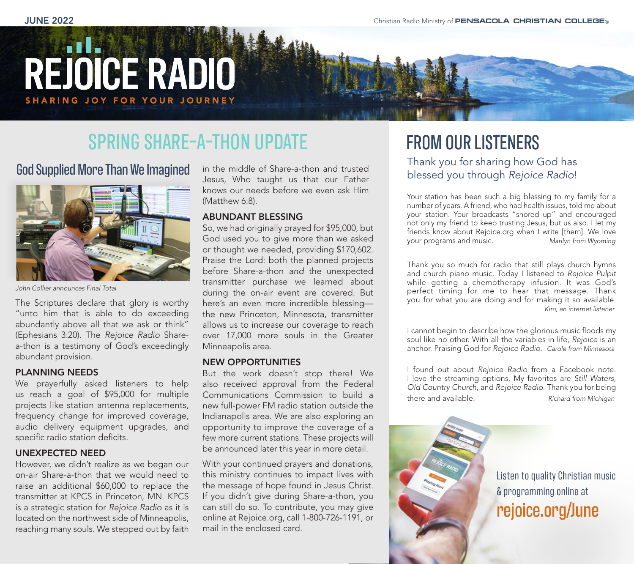# **REJOICE RADIO** SHARING JOY FOR YOUR JOURNEY

## SPRING SHARE-A-THON UPDATE

God Supplied More Than We Imagined



*John Collier announces Final Total*

The Scriptures declare that glory is worthy "unto him that is able to do exceeding abundantly above all that we ask or think" (Ephesians 3:20). The *Rejoice Radio* Sharea-thon is a testimony of God's exceedingly abundant provision.

#### PLANNING NEEDS

We prayerfully asked listeners to help us reach a goal of \$95,000 for multiple projects like station antenna replacements, frequency change for improved coverage, audio delivery equipment upgrades, and specific radio station deficits.

#### UNEXPECTED NEED

However, we didn't realize as we began our on-air Share-a-thon that we would need to raise an additional \$60,000 to replace the transmitter at KPCS in Princeton, MN. KPCS is a strategic station for *Rejoice Radio* as it is located on the northwest side of Minneapolis, reaching many souls. We stepped out by faith

in the middle of Share-a-thon and trusted Jesus, Who taught us that our Father knows our needs before we even ask Him (Matthew 6:8).

#### ABUNDANT BLESSING

So, we had originally prayed for \$95,000, but God used you to give more than we asked or thought we needed, providing \$170,602. Praise the Lord: both the planned projects before Share-a-thon *and* the unexpected transmitter purchase we learned about during the on-air event are covered. But here's an even more incredible blessing the new Princeton, Minnesota, transmitter allows us to increase our coverage to reach over 17,000 more souls in the Greater Minneapolis area.

#### NEW OPPORTUNITIES

But the work doesn't stop there! We also received approval from the Federal Communications Commission to build a new full-power FM radio station outside the Indianapolis area. We are also exploring an opportunity to improve the coverage of a few more current stations. These projects will be announced later this year in more detail.

With your continued prayers and donations, this ministry continues to impact lives with the message of hope found in Jesus Christ. If you didn't give during Share-a-thon, you can still do so. To contribute, you may give online at Rejoice.org, call 1-800-726-1191, or mail in the enclosed card.

## FROM OUR LISTENERS

Thank you for sharing how God has blessed you through *Rejoice Radio*!

Your station has been such a big blessing to my family for a number of years. A friend, who had health issues, told me about your station. Your broadcasts "shored up" and encouraged not only my friend to keep trusting Jesus, but us also. I let my friends know about Rejoice.org when I write [them]. We love your programs and music. *Marilyn from Wyoming*

Thank you so much for radio that still plays church hymns and church piano music. Today I listened to *Rejoice Pulpit* while getting a chemotherapy infusion. It was God's perfect timing for me to hear that message. Thank you for what you are doing and for making it so available. *Kim, an internet listener*

I cannot begin to describe how the glorious music floods my soul like no other. With all the variables in life, *Rejoice* is an anchor. Praising God for *Rejoice Radio*. *Carole from Minnesota*

I found out about *Rejoice Radio* from a Facebook note. I love the streaming options. My favorites are *Still Waters*, *Old Country Church*, and *Rejoice Radio*. Thank you for being there and available. *Richard from Michigan*

Listen to quality Christian music & programming online at rejoice.org/June